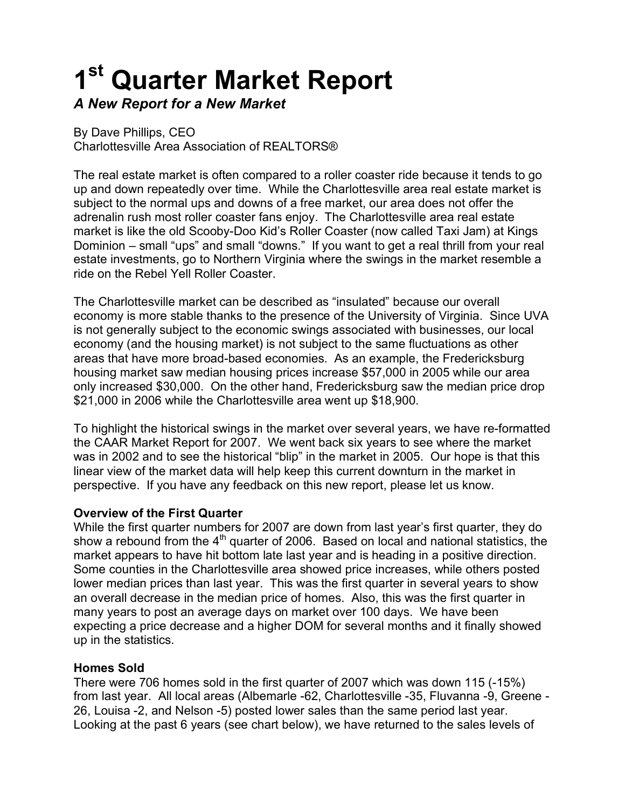# **1st Quarter Market Report**

*A New Report for a New Market*

By Dave Phillips, CEO Charlottesville Area Association of REALTORS®

The real estate market is often compared to a roller coaster ride because it tends to go up and down repeatedly over time. While the Charlottesville area real estate market is subject to the normal ups and downs of a free market, our area does not offer the adrenalin rush most roller coaster fans enjoy. The Charlottesville area real estate market is like the old Scooby-Doo Kid's Roller Coaster (now called Taxi Jam) at Kings Dominion – small "ups" and small "downs." If you want to get a real thrill from your real estate investments, go to Northern Virginia where the swings in the market resemble a ride on the Rebel Yell Roller Coaster.

The Charlottesville market can be described as "insulated" because our overall economy is more stable thanks to the presence of the University of Virginia. Since UVA is not generally subject to the economic swings associated with businesses, our local economy (and the housing market) is not subject to the same fluctuations as other areas that have more broad-based economies. As an example, the Fredericksburg housing market saw median housing prices increase \$57,000 in 2005 while our area only increased \$30,000. On the other hand, Fredericksburg saw the median price drop \$21,000 in 2006 while the Charlottesville area went up \$18,900.

To highlight the historical swings in the market over several years, we have re-formatted the CAAR Market Report for 2007. We went back six years to see where the market was in 2002 and to see the historical "blip" in the market in 2005. Our hope is that this linear view of the market data will help keep this current downturn in the market in perspective. If you have any feedback on this new report, please let us know.

# **Overview of the First Quarter**

While the first quarter numbers for 2007 are down from last year's first quarter, they do show a rebound from the  $4<sup>th</sup>$  quarter of 2006. Based on local and national statistics, the market appears to have hit bottom late last year and is heading in a positive direction. Some counties in the Charlottesville area showed price increases, while others posted lower median prices than last year. This was the first quarter in several years to show an overall decrease in the median price of homes. Also, this was the first quarter in many years to post an average days on market over 100 days. We have been expecting a price decrease and a higher DOM for several months and it finally showed up in the statistics.

#### **Homes Sold**

There were 706 homes sold in the first quarter of 2007 which was down 115 (-15%) from last year. All local areas (Albemarle -62, Charlottesville -35, Fluvanna -9, Greene - 26, Louisa -2, and Nelson -5) posted lower sales than the same period last year. Looking at the past 6 years (see chart below), we have returned to the sales levels of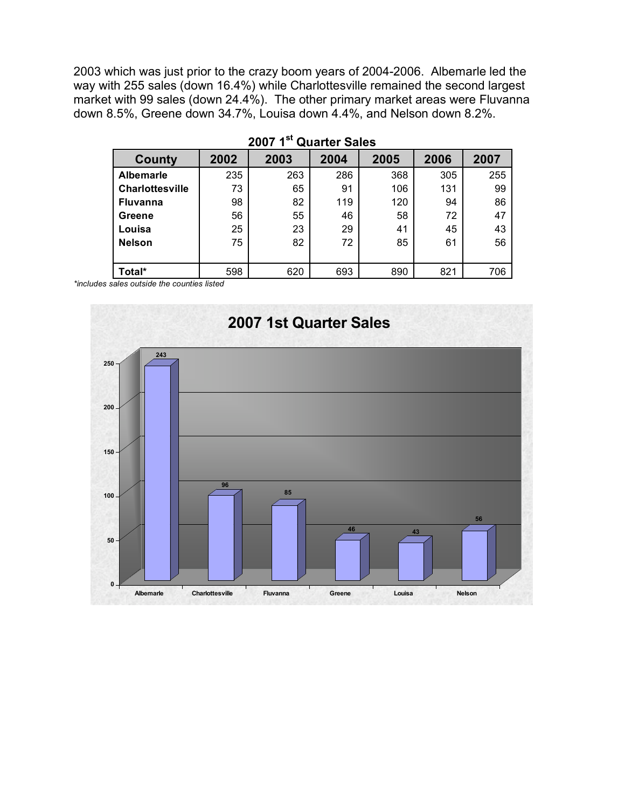2003 which was just prior to the crazy boom years of 2004-2006. Albemarle led the way with 255 sales (down 16.4%) while Charlottesville remained the second largest market with 99 sales (down 24.4%). The other primary market areas were Fluvanna down 8.5%, Greene down 34.7%, Louisa down 4.4%, and Nelson down 8.2%.

| County                 | 2002 | 2003 | 2004 | 2005 | 2006 | 2007 |  |
|------------------------|------|------|------|------|------|------|--|
| <b>Albemarle</b>       | 235  | 263  | 286  | 368  | 305  | 255  |  |
| <b>Charlottesville</b> | 73   | 65   | 91   | 106  | 131  | 99   |  |
| <b>Fluvanna</b>        | 98   | 82   | 119  | 120  | 94   | 86   |  |
| Greene                 | 56   | 55   | 46   | 58   | 72   | 47   |  |
| Louisa                 | 25   | 23   | 29   | 41   | 45   | 43   |  |
| <b>Nelson</b>          | 75   | 82   | 72   | 85   | 61   | 56   |  |
|                        |      |      |      |      |      |      |  |
| Total*                 | 598  | 620  | 693  | 890  | 821  | 706  |  |

|  |  | 2007 1 <sup>st</sup> Quarter Sales |  |
|--|--|------------------------------------|--|
|--|--|------------------------------------|--|

*\*includes sales outside the counties listed*

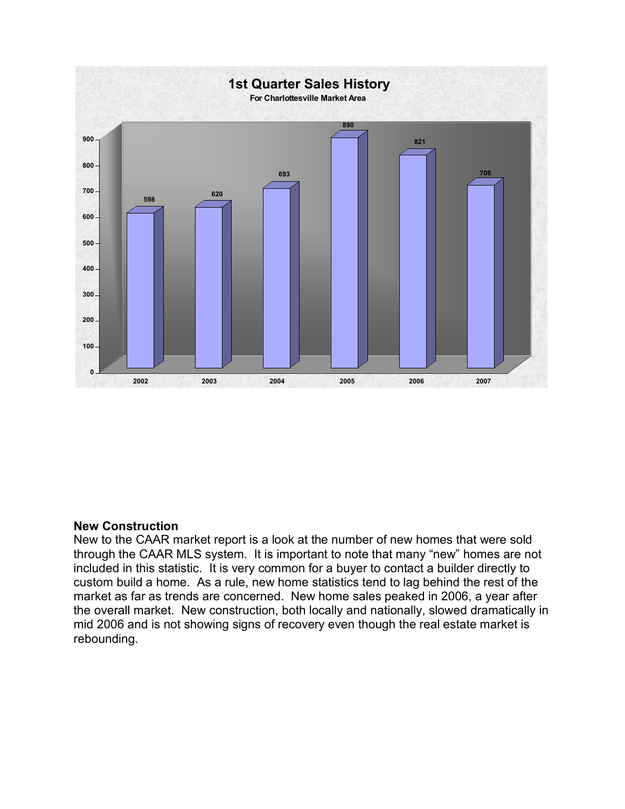

#### **New Construction**

New to the CAAR market report is a look at the number of new homes that were sold through the CAAR MLS system. It is important to note that many "new" homes are not included in this statistic. It is very common for a buyer to contact a builder directly to custom build a home. As a rule, new home statistics tend to lag behind the rest of the market as far as trends are concerned. New home sales peaked in 2006, a year after the overall market. New construction, both locally and nationally, slowed dramatically in mid 2006 and is not showing signs of recovery even though the real estate market is rebounding.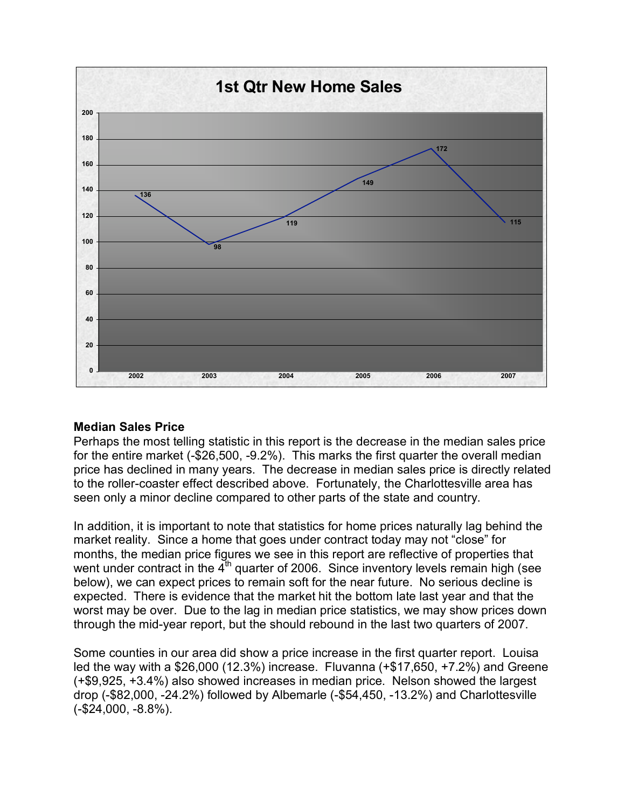

#### **Median Sales Price**

Perhaps the most telling statistic in this report is the decrease in the median sales price for the entire market (-\$26,500, -9.2%). This marks the first quarter the overall median price has declined in many years. The decrease in median sales price is directly related to the roller-coaster effect described above. Fortunately, the Charlottesville area has seen only a minor decline compared to other parts of the state and country.

In addition, it is important to note that statistics for home prices naturally lag behind the market reality. Since a home that goes under contract today may not "close" for months, the median price figures we see in this report are reflective of properties that went under contract in the  $4<sup>th</sup>$  quarter of 2006. Since inventory levels remain high (see below), we can expect prices to remain soft for the near future. No serious decline is expected. There is evidence that the market hit the bottom late last year and that the worst may be over. Due to the lag in median price statistics, we may show prices down through the mid-year report, but the should rebound in the last two quarters of 2007.

Some counties in our area did show a price increase in the first quarter report. Louisa led the way with a \$26,000 (12.3%) increase. Fluvanna (+\$17,650, +7.2%) and Greene (+\$9,925, +3.4%) also showed increases in median price. Nelson showed the largest drop (-\$82,000, -24.2%) followed by Albemarle (-\$54,450, -13.2%) and Charlottesville (-\$24,000, -8.8%).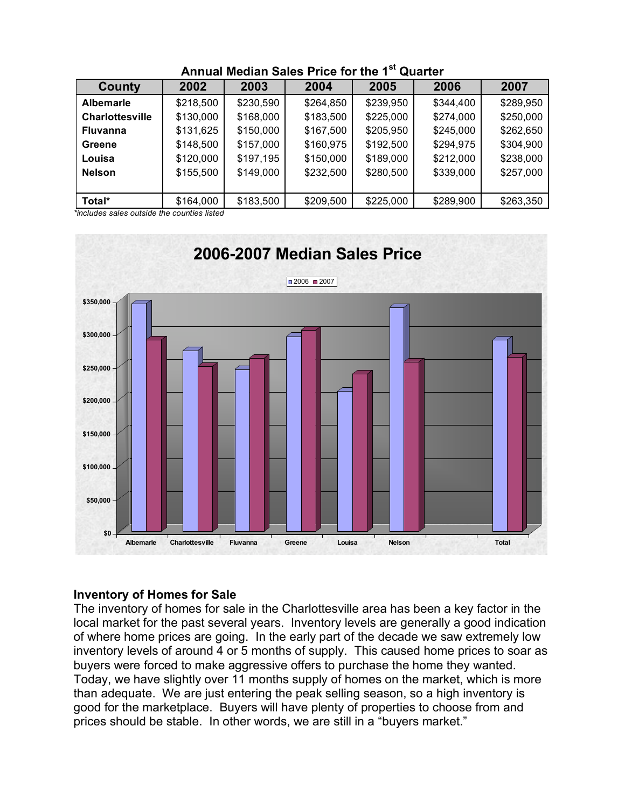| County                 | 2002      | 2003      | 2004      | 2005      | 2006      | 2007      |
|------------------------|-----------|-----------|-----------|-----------|-----------|-----------|
| <b>Albemarle</b>       | \$218,500 | \$230,590 | \$264,850 | \$239,950 | \$344,400 | \$289,950 |
| <b>Charlottesville</b> | \$130,000 | \$168,000 | \$183,500 | \$225,000 | \$274,000 | \$250,000 |
| <b>Fluvanna</b>        | \$131,625 | \$150,000 | \$167,500 | \$205,950 | \$245,000 | \$262,650 |
| Greene                 | \$148,500 | \$157,000 | \$160,975 | \$192,500 | \$294,975 | \$304,900 |
| Louisa                 | \$120,000 | \$197,195 | \$150,000 | \$189,000 | \$212,000 | \$238,000 |
| <b>Nelson</b>          | \$155,500 | \$149,000 | \$232,500 | \$280,500 | \$339,000 | \$257,000 |
|                        |           |           |           |           |           |           |
| Total*                 | \$164,000 | \$183,500 | \$209,500 | \$225,000 | \$289,900 | \$263,350 |

# **Annual Median Sales Price for the 1st Quarter**

*\*includes sales outside the counties listed*



#### **Inventory of Homes for Sale**

The inventory of homes for sale in the Charlottesville area has been a key factor in the local market for the past several years. Inventory levels are generally a good indication of where home prices are going. In the early part of the decade we saw extremely low inventory levels of around 4 or 5 months of supply. This caused home prices to soar as buyers were forced to make aggressive offers to purchase the home they wanted. Today, we have slightly over 11 months supply of homes on the market, which is more than adequate. We are just entering the peak selling season, so a high inventory is good for the marketplace. Buyers will have plenty of properties to choose from and prices should be stable. In other words, we are still in a "buyers market."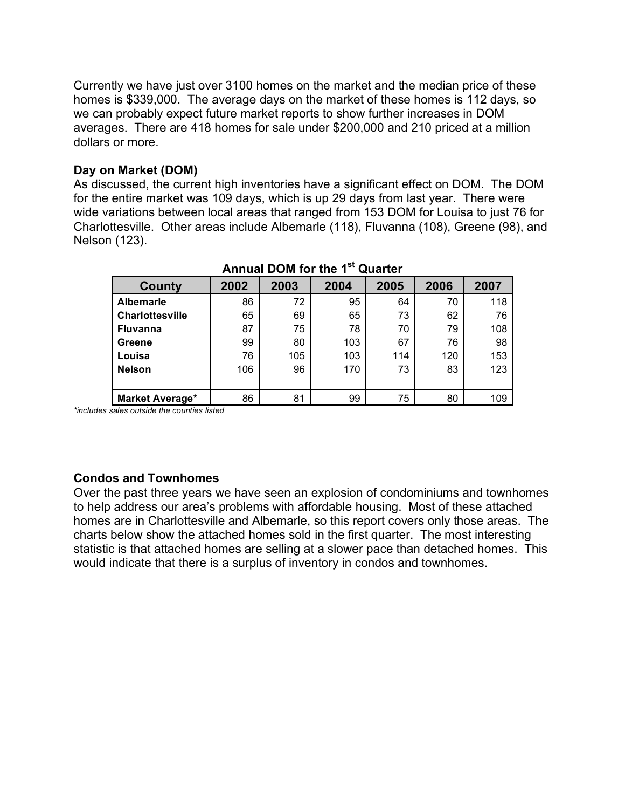Currently we have just over 3100 homes on the market and the median price of these homes is \$339,000. The average days on the market of these homes is 112 days, so we can probably expect future market reports to show further increases in DOM averages. There are 418 homes for sale under \$200,000 and 210 priced at a million dollars or more.

#### **Day on Market (DOM)**

As discussed, the current high inventories have a significant effect on DOM. The DOM for the entire market was 109 days, which is up 29 days from last year. There were wide variations between local areas that ranged from 153 DOM for Louisa to just 76 for Charlottesville. Other areas include Albemarle (118), Fluvanna (108), Greene (98), and Nelson (123).

| County                 | 2002 | 2003 | 2004 | 2005 | 2006 | 2007 |  |
|------------------------|------|------|------|------|------|------|--|
| <b>Albemarle</b>       | 86   | 72   | 95   | 64   | 70   | 118  |  |
| Charlottesville        | 65   | 69   | 65   | 73   | 62   | 76   |  |
| <b>Fluvanna</b>        | 87   | 75   | 78   | 70   | 79   | 108  |  |
| Greene                 | 99   | 80   | 103  | 67   | 76   | 98   |  |
| Louisa                 | 76   | 105  | 103  | 114  | 120  | 153  |  |
| <b>Nelson</b>          | 106  | 96   | 170  | 73   | 83   | 123  |  |
|                        |      |      |      |      |      |      |  |
| <b>Market Average*</b> | 86   | 81   | 99   | 75   | 80   | 109  |  |

## **Annual DOM for the 1st Quarter**

*\*includes sales outside the counties listed*

#### **Condos and Townhomes**

Over the past three years we have seen an explosion of condominiums and townhomes to help address our area's problems with affordable housing. Most of these attached homes are in Charlottesville and Albemarle, so this report covers only those areas. The charts below show the attached homes sold in the first quarter. The most interesting statistic is that attached homes are selling at a slower pace than detached homes. This would indicate that there is a surplus of inventory in condos and townhomes.